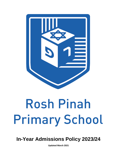

# Rosh Pinah **Primary School**

**In-Year Admissions Policy 2023/24**

**Updated March 2021**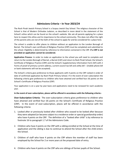# **Admissions Criteria – In Year 2023/24**

The Rosh Pinah Jewish Primary School is a Scopus Jewish Day School. The religious character of the School is that of Modern Orthodox Judaism, as described in more detail in the statement of the School's ethos which can be found on the school's website. We ask all parents applying for a place here to respect this ethos and its importance to the school community. This does not affect the right of the parents who are not of the faith of the school to apply for and be considered for a place here.

The school is unable to offer places to children without an application to the London Borough of Barnet. The School's own certificate of Religious Practice (CRP) must be completed and submitted to the school. Eligibility is determined by reference to information contained in the CRP. **If a CRP is not provided an application cannot be considered.**

**Application Process**: In order to make an application to the school you will need to complete and return to the London Borough of Barnet, a Barnet (CAF) and return to Rosh Pinah School, the School's Certificate of Religious Practice (CRP) and the School's Supplementary Information Form (SIF) with 2 Forms of proof of primary current address, current council tax bill and utility bill – (mobile phone bill or bank statements will not be accepted).

The School's criteria give preference to those applicants with 4 points on the CRP ranked in order of date of confirmed application by Rosh Pinah Primary School. If in the event of over-subscription the following criteria give preference to children who have attained and verified four (4) points on the School's Certificate of Religious Practice (CRP)

Your application is on a year by year basis and applications need to be renewed for each academic year.

### **In the event of over-subscription, places will be offered in accordance with the following criteria:-**

**Over-Subscription Criteria:** The over-subscription criteria gives preference to children who have attained and verified four (4) points on the School's Certificate of Religious Practice (CRP). In the event of over-subscription, places will be offered in accordance with the following criteria:

- 1. Looked after or previously looked after children who ceased to be looked after because they were adopted (or became subject to a residence order or special guardianship order) who have 4 points on the CRP. The definition of a "looked after child" is by reference to footnote 16 to paragraph 1.7 of the Admissions Code.
- 2. Children who have 4 points on the CRP with a sibling enrolled at the School at the time of application and the sibling is due to continue to attend the School after the child enters the School.
- 3. Children of staff who have 4 points on the CRP where the member of staff has been employed by the School for 2 or more years at the proposed date of entry.
- 4. Children who have 4 points on the CRP who are siblings of former pupils of the School.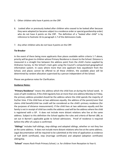- 5. Other children who have 4 points on the CRP.
- 6. Looked after or previously looked after children who ceased to be looked after because they were adopted (or became subject to a residence order or special guardianship order) who do not have 4 points on the CRP. The definition of a "looked after child" is by reference to footnote 16 to paragraph 1.7 of the Admissions Code.
- 7. Any other children who do not have 4 points on the CRP.

### **Tie-Breaker**

In the event of there being more applicants than places available within criteria 1-7 above, priority will be given to children whose Primary Residence is closest to the School. Distance is measured in a straight line between the address point from the child's home supplied by Ordnance Survey, to the School's main gate using the Council's computerised geographical information system. In cases where more than one applicant lives equidistant from the School, and places cannot be offered to all these children, the available place will be determined by random allocation supervised by a person independent of the School.

Please see guidance notes for Clarification.

## **Guidance Notes:**

"**Primary Residence**" means the address which the child lives at during the School week. In cases of split residence, if the child regularly lives at more than one address Monday to Friday, the primary address provided should be the address where the child spends the majority of his/her time. If the child lives at two addresses equally, the address of the parent/carer that claims child benefit/child tax credit will be considered as the child's primary residence (for the purposes of distance measurement). If the child lives at two addresses equally and the family is not in receipt of child tax credits the address used will be the address where the child is registered with a GP. It does not include more distant relations who live at the same address. Subject to this definition the School applies the rules and criteria of Barnet LBB, as set out in Barnet's applicable guide to School admissions. Proof of residence is required before the offer of a place is confirmed.

"**Siblings**" includes half-siblings, step-siblings and adopted siblings, whether or not they live at the same address. It does not include more distant relations who live at the same address. Legal documentation will be required to be submitted at the time of application as evidence of half (birth certificate), step (marriage certificate) and adopted (adoption certificate) siblingship.

"**School**" means Rosh Pinah Primary School, i.e. for children from Reception to Year 6.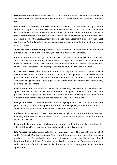**Distance Measurement**: All distances to be measured hereunder will be measured by the shortest route using the London Borough of Barnet's School's Admissions team measurement tool.

**Pupils with a Statement of Special Educational Needs**: The admission of pupils with a Statement of Special Educational Needs (or an Education, Health and Care plan) is dealt with by a completely separate procedure and outside of the normal admissions round. Details of this separate procedure are set out in the *Special Education Needs Code of Practice.* This procedure is run by the Local Authority and if a child with a Statement is placed in the School via the Local Authority before the normal admission offers are made, the number of places may be reduced.

**Twins and children from Multiple Births**: These children will be admitted when one of the siblings is the  $60<sup>th</sup>$  child and, as a result, the School's PAN will be increased.

**Appeals**: Parents have the right to appeal against the refusal to admit a child to the School. This should be done in writing to the Clerk to the Appeals Committee at the School and received within 20 School Days from the date of notification of an unsuccessful application. Further Details regarding the appeals process can be found on the School website.

**In Year Fair Access**: The Admissions Forum may require the School to admit a child exceptionally, either outside the normal admissions arrangements or in excess of the published admission limit, in order to protect the interests of vulnerable children and those with challenging behaviour. These pupils will be shared between School in ways that are fair, objective and transparent.

**In-Year Admissions**: Applications can be made at any time (please see our In-Year Admissions application form on the School website) and there is an appeals procedure if it has not been possible to offer a place at that time. This should be done in writing to the Clerk to the Governors within three weeks of the notification of the refusal of a place.

**Change of Address**: If the offer has been made on a geographical basis; it is conditional upon your still being resident at the application address at the beginning of the Autumn Term 2022 and may be withdrawn if you move further away from the School.

**Applicants from Nursery**: There is no guarantee or right to a place in the Reception year following attendance at the Rosh Pinah Nursery. Parents must apply via the local authority where the child lives.

**Response by Parents**: A parent who does not respond to the offer of a place may have the offer withdrawn if the deadline quoted in the email or letter is not met.

**Late Applications**: All applications for the Reception year received between 15th January 2022 and 31 August 2022 will be considered "late" and will be processed after those that have been received on time. The application procedure is otherwise the same, save that all forms should be returned without delay. Following the application procedure for Reception year places, and once initial offers have been made, the waiting list will be adjusted to include late applications.